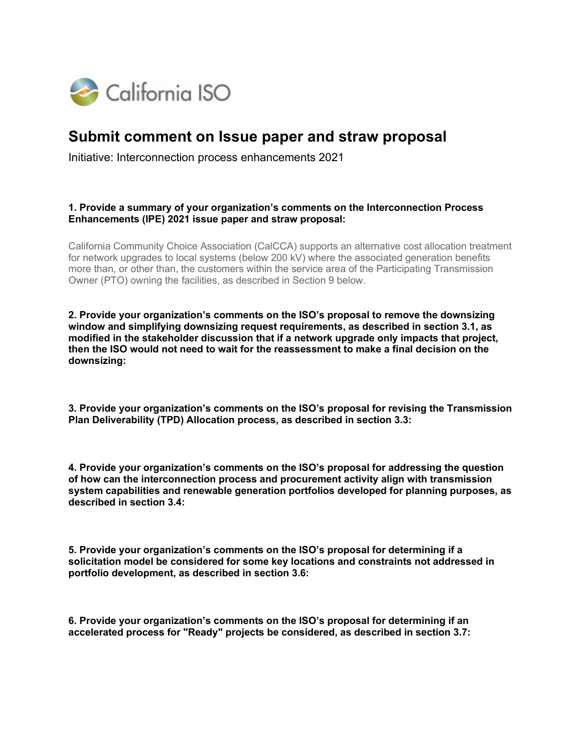

## **Submit comment on Issue paper and straw proposal**

Initiative: Interconnection process enhancements 2021

## **1. Provide a summary of your organization's comments on the Interconnection Process Enhancements (IPE) 2021 issue paper and straw proposal:**

California Community Choice Association (CalCCA) supports an alternative cost allocation treatment for network upgrades to local systems (below 200 kV) where the associated generation benefits more than, or other than, the customers within the service area of the Participating Transmission Owner (PTO) owning the facilities, as described in Section 9 below.

**2. Provide your organization's comments on the ISO's proposal to remove the downsizing window and simplifying downsizing request requirements, as described in section 3.1, as modified in the stakeholder discussion that if a network upgrade only impacts that project, then the ISO would not need to wait for the reassessment to make a final decision on the downsizing:**

**3. Provide your organization's comments on the ISO's proposal for revising the Transmission Plan Deliverability (TPD) Allocation process, as described in section 3.3:**

**4. Provide your organization's comments on the ISO's proposal for addressing the question of how can the interconnection process and procurement activity align with transmission system capabilities and renewable generation portfolios developed for planning purposes, as described in section 3.4:**

**5. Provide your organization's comments on the ISO's proposal for determining if a solicitation model be considered for some key locations and constraints not addressed in portfolio development, as described in section 3.6:**

**6. Provide your organization's comments on the ISO's proposal for determining if an accelerated process for "Ready" projects be considered, as described in section 3.7:**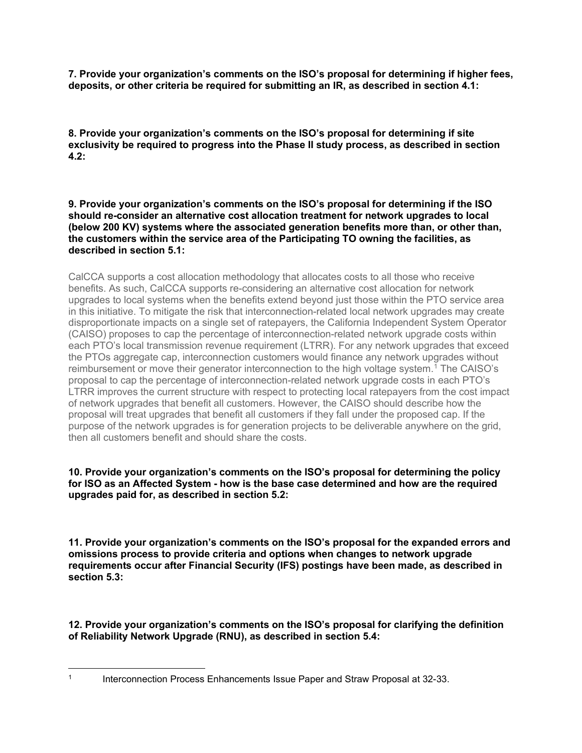**7. Provide your organization's comments on the ISO's proposal for determining if higher fees, deposits, or other criteria be required for submitting an IR, as described in section 4.1:**

**8. Provide your organization's comments on the ISO's proposal for determining if site exclusivity be required to progress into the Phase II study process, as described in section 4.2:**

**9. Provide your organization's comments on the ISO's proposal for determining if the ISO should re-consider an alternative cost allocation treatment for network upgrades to local (below 200 KV) systems where the associated generation benefits more than, or other than, the customers within the service area of the Participating TO owning the facilities, as described in section 5.1:**

CalCCA supports a cost allocation methodology that allocates costs to all those who receive benefits. As such, CalCCA supports re-considering an alternative cost allocation for network upgrades to local systems when the benefits extend beyond just those within the PTO service area in this initiative. To mitigate the risk that interconnection-related local network upgrades may create disproportionate impacts on a single set of ratepayers, the California Independent System Operator (CAISO) proposes to cap the percentage of interconnection-related network upgrade costs within each PTO's local transmission revenue requirement (LTRR). For any network upgrades that exceed the PTOs aggregate cap, interconnection customers would finance any network upgrades without reimbursement or move their generator interconnection to the high voltage system.[1](#page-1-0) The CAISO's proposal to cap the percentage of interconnection-related network upgrade costs in each PTO's LTRR improves the current structure with respect to protecting local ratepayers from the cost impact of network upgrades that benefit all customers. However, the CAISO should describe how the proposal will treat upgrades that benefit all customers if they fall under the proposed cap. If the purpose of the network upgrades is for generation projects to be deliverable anywhere on the grid, then all customers benefit and should share the costs.

## **10. Provide your organization's comments on the ISO's proposal for determining the policy for ISO as an Affected System - how is the base case determined and how are the required upgrades paid for, as described in section 5.2:**

**11. Provide your organization's comments on the ISO's proposal for the expanded errors and omissions process to provide criteria and options when changes to network upgrade requirements occur after Financial Security (IFS) postings have been made, as described in section 5.3:**

**12. Provide your organization's comments on the ISO's proposal for clarifying the definition of Reliability Network Upgrade (RNU), as described in section 5.4:**

<span id="page-1-0"></span><sup>&</sup>lt;sup>1</sup> Interconnection Process Enhancements Issue Paper and Straw Proposal at 32-33.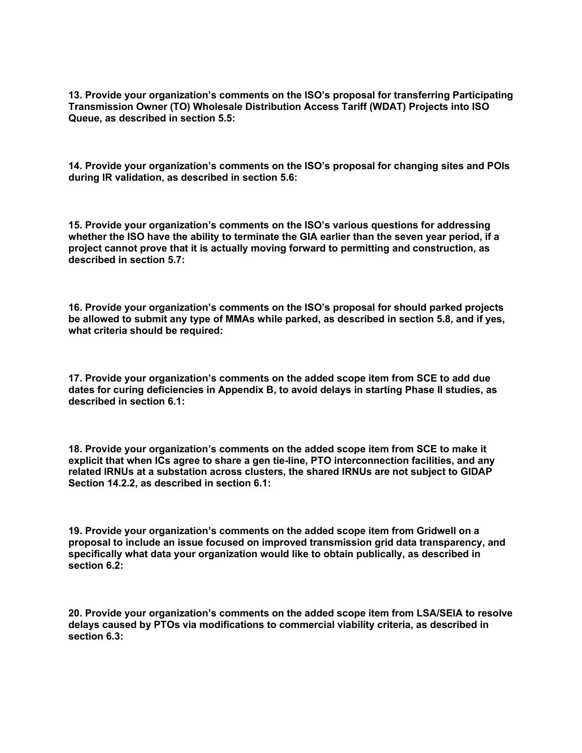**13. Provide your organization's comments on the ISO's proposal for transferring Participating Transmission Owner (TO) Wholesale Distribution Access Tariff (WDAT) Projects into ISO Queue, as described in section 5.5:**

**14. Provide your organization's comments on the ISO's proposal for changing sites and POIs during IR validation, as described in section 5.6:**

**15. Provide your organization's comments on the ISO's various questions for addressing whether the ISO have the ability to terminate the GIA earlier than the seven year period, if a project cannot prove that it is actually moving forward to permitting and construction, as described in section 5.7:**

**16. Provide your organization's comments on the ISO's proposal for should parked projects be allowed to submit any type of MMAs while parked, as described in section 5.8, and if yes, what criteria should be required:**

**17. Provide your organization's comments on the added scope item from SCE to add due dates for curing deficiencies in Appendix B, to avoid delays in starting Phase II studies, as described in section 6.1:**

**18. Provide your organization's comments on the added scope item from SCE to make it explicit that when ICs agree to share a gen tie-line, PTO interconnection facilities, and any related IRNUs at a substation across clusters, the shared IRNUs are not subject to GIDAP Section 14.2.2, as described in section 6.1:**

**19. Provide your organization's comments on the added scope item from Gridwell on a proposal to include an issue focused on improved transmission grid data transparency, and specifically what data your organization would like to obtain publically, as described in section 6.2:**

**20. Provide your organization's comments on the added scope item from LSA/SEIA to resolve delays caused by PTOs via modifications to commercial viability criteria, as described in section 6.3:**